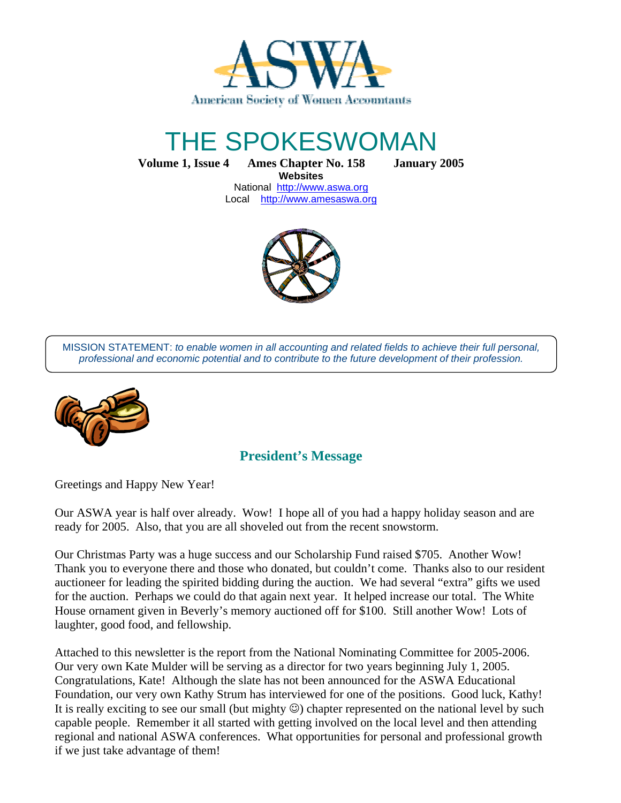

# THE SPOKESWOMAN

**Volume 1, Issue 4 Ames Chapter No. 158 January 2005 Websites** 

National http://www.aswa.org Local http://www.amesaswa.org



MISSION STATEMENT: to enable women in all accounting and related fields to achieve their full personal, professional and economic potential and to contribute to the future development of their profession.



# **President's Message**

Greetings and Happy New Year!

Our ASWA year is half over already. Wow! I hope all of you had a happy holiday season and are ready for 2005. Also, that you are all shoveled out from the recent snowstorm.

Our Christmas Party was a huge success and our Scholarship Fund raised \$705. Another Wow! Thank you to everyone there and those who donated, but couldn't come. Thanks also to our resident auctioneer for leading the spirited bidding during the auction. We had several "extra" gifts we used for the auction. Perhaps we could do that again next year. It helped increase our total. The White House ornament given in Beverly's memory auctioned off for \$100. Still another Wow! Lots of laughter, good food, and fellowship.

Attached to this newsletter is the report from the National Nominating Committee for 2005-2006. Our very own Kate Mulder will be serving as a director for two years beginning July 1, 2005. Congratulations, Kate! Although the slate has not been announced for the ASWA Educational Foundation, our very own Kathy Strum has interviewed for one of the positions. Good luck, Kathy! It is really exciting to see our small (but mighty  $\odot$ ) chapter represented on the national level by such capable people. Remember it all started with getting involved on the local level and then attending regional and national ASWA conferences. What opportunities for personal and professional growth if we just take advantage of them!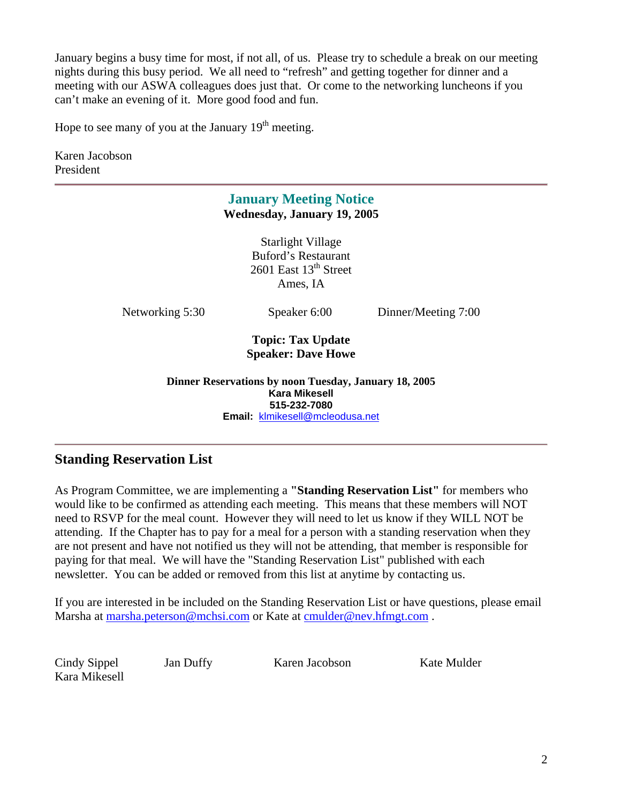January begins a busy time for most, if not all, of us. Please try to schedule a break on our meeting nights during this busy period. We all need to "refresh" and getting together for dinner and a meeting with our ASWA colleagues does just that. Or come to the networking luncheons if you can't make an evening of it. More good food and fun.

Hope to see many of you at the January  $19<sup>th</sup>$  meeting.

Karen Jacobson President

# **January Meeting Notice Wednesday, January 19, 2005**

Starlight Village Buford's Restaurant 2601 East  $13<sup>th</sup>$  Street Ames, IA

Networking 5:30 Speaker 6:00 Dinner/Meeting 7:00

#### **Topic: Tax Update Speaker: Dave Howe**

**Dinner Reservations by noon Tuesday, January 18, 2005 Kara Mikesell 515-232-7080 Email:** klmikesell@mcleodusa.net

# **Standing Reservation List**

As Program Committee, we are implementing a **"Standing Reservation List"** for members who would like to be confirmed as attending each meeting. This means that these members will NOT need to RSVP for the meal count. However they will need to let us know if they WILL NOT be attending. If the Chapter has to pay for a meal for a person with a standing reservation when they are not present and have not notified us they will not be attending, that member is responsible for paying for that meal. We will have the "Standing Reservation List" published with each newsletter. You can be added or removed from this list at anytime by contacting us.

If you are interested in be included on the Standing Reservation List or have questions, please email Marsha at marsha.peterson@mchsi.com or Kate at cmulder@nev.hfmgt.com.

Kara Mikesell

Cindy Sippel Jan Duffy Karen Jacobson Kate Mulder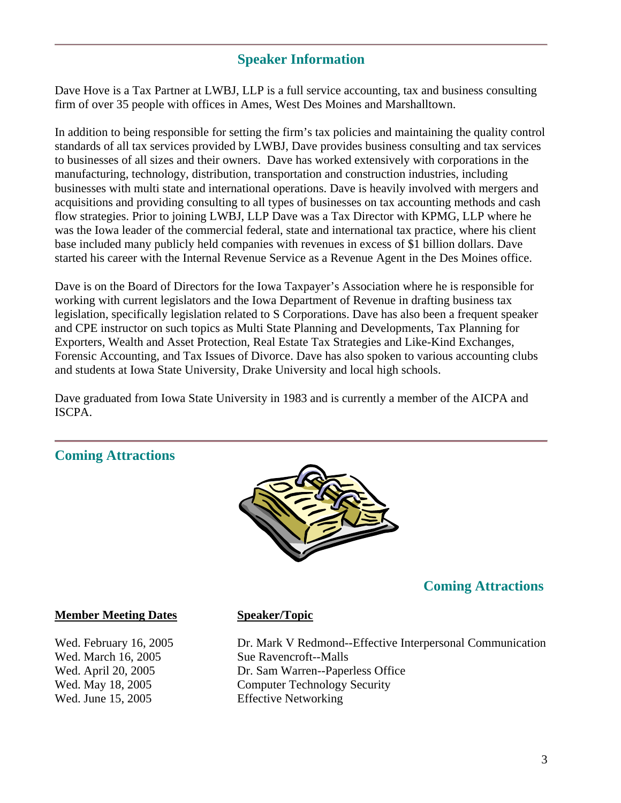# **Speaker Information**

Dave Hove is a Tax Partner at LWBJ, LLP is a full service accounting, tax and business consulting firm of over 35 people with offices in Ames, West Des Moines and Marshalltown.

In addition to being responsible for setting the firm's tax policies and maintaining the quality control standards of all tax services provided by LWBJ, Dave provides business consulting and tax services to businesses of all sizes and their owners. Dave has worked extensively with corporations in the manufacturing, technology, distribution, transportation and construction industries, including businesses with multi state and international operations. Dave is heavily involved with mergers and acquisitions and providing consulting to all types of businesses on tax accounting methods and cash flow strategies. Prior to joining LWBJ, LLP Dave was a Tax Director with KPMG, LLP where he was the Iowa leader of the commercial federal, state and international tax practice, where his client base included many publicly held companies with revenues in excess of \$1 billion dollars. Dave started his career with the Internal Revenue Service as a Revenue Agent in the Des Moines office.

Dave is on the Board of Directors for the Iowa Taxpayer's Association where he is responsible for working with current legislators and the Iowa Department of Revenue in drafting business tax legislation, specifically legislation related to S Corporations. Dave has also been a frequent speaker and CPE instructor on such topics as Multi State Planning and Developments, Tax Planning for Exporters, Wealth and Asset Protection, Real Estate Tax Strategies and Like-Kind Exchanges, Forensic Accounting, and Tax Issues of Divorce. Dave has also spoken to various accounting clubs and students at Iowa State University, Drake University and local high schools.

Dave graduated from Iowa State University in 1983 and is currently a member of the AICPA and ISCPA.

# **Coming Attractions**



# **Coming Attractions**

#### **Member Meeting Dates Speaker/Topic**

Wed. March 16, 2005 Sue Ravencroft--Malls Wed. June 15, 2005 Effective Networking

Wed. February 16, 2005 **Dr. Mark V Redmond--Effective Interpersonal Communication** Wed. April 20, 2005 Dr. Sam Warren--Paperless Office Wed. May 18, 2005 Computer Technology Security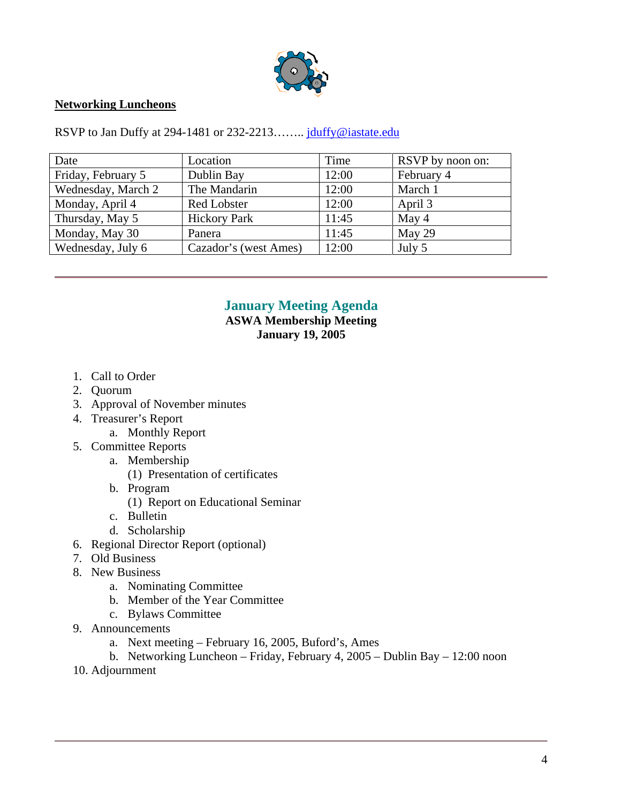

#### **Networking Luncheons**

RSVP to Jan Duffy at 294-1481 or 232-2213........ juluffy@iastate.edu

| Date               | Location              | Time  | RSVP by noon on: |
|--------------------|-----------------------|-------|------------------|
| Friday, February 5 | Dublin Bay            | 12:00 | February 4       |
| Wednesday, March 2 | The Mandarin          | 12:00 | March 1          |
| Monday, April 4    | <b>Red Lobster</b>    | 12:00 | April 3          |
| Thursday, May 5    | <b>Hickory Park</b>   | 11:45 | May 4            |
| Monday, May 30     | Panera                | 11:45 | May 29           |
| Wednesday, July 6  | Cazador's (west Ames) | 12:00 | July 5           |

## **January Meeting Agenda**

**ASWA Membership Meeting January 19, 2005** 

- 1. Call to Order
- 2. Quorum
- 3. Approval of November minutes
- 4. Treasurer's Report
	- a. Monthly Report
- 5. Committee Reports
	- a. Membership
		- (1) Presentation of certificates
	- b. Program
		- (1) Report on Educational Seminar
	- c. Bulletin
	- d. Scholarship
- 6. Regional Director Report (optional)
- 7. Old Business
- 8. New Business
	- a. Nominating Committee
	- b. Member of the Year Committee
	- c. Bylaws Committee
- 9. Announcements
	- a. Next meeting February 16, 2005, Buford's, Ames
	- b. Networking Luncheon Friday, February 4, 2005 Dublin Bay 12:00 noon
- 10. Adjournment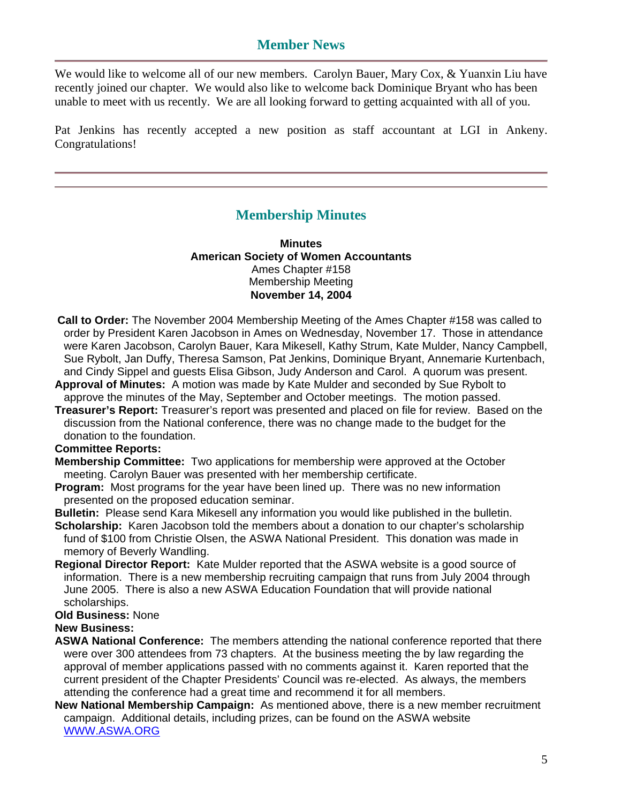#### **Member News**

We would like to welcome all of our new members. Carolyn Bauer, Mary Cox, & Yuanxin Liu have recently joined our chapter. We would also like to welcome back Dominique Bryant who has been unable to meet with us recently. We are all looking forward to getting acquainted with all of you.

Pat Jenkins has recently accepted a new position as staff accountant at LGI in Ankeny. Congratulations!

#### **Membership Minutes**

**Minutes American Society of Women Accountants**  Ames Chapter #158 Membership Meeting **November 14, 2004** 

- **Call to Order:** The November 2004 Membership Meeting of the Ames Chapter #158 was called to order by President Karen Jacobson in Ames on Wednesday, November 17. Those in attendance were Karen Jacobson, Carolyn Bauer, Kara Mikesell, Kathy Strum, Kate Mulder, Nancy Campbell, Sue Rybolt, Jan Duffy, Theresa Samson, Pat Jenkins, Dominique Bryant, Annemarie Kurtenbach, and Cindy Sippel and guests Elisa Gibson, Judy Anderson and Carol. A quorum was present.
- **Approval of Minutes:** A motion was made by Kate Mulder and seconded by Sue Rybolt to approve the minutes of the May, September and October meetings. The motion passed.
- **Treasurer's Report:** Treasurer's report was presented and placed on file for review. Based on the discussion from the National conference, there was no change made to the budget for the donation to the foundation.

#### **Committee Reports:**

- **Membership Committee:** Two applications for membership were approved at the October meeting. Carolyn Bauer was presented with her membership certificate.
- **Program:** Most programs for the year have been lined up. There was no new information presented on the proposed education seminar.
- **Bulletin:** Please send Kara Mikesell any information you would like published in the bulletin.
- **Scholarship:** Karen Jacobson told the members about a donation to our chapter's scholarship fund of \$100 from Christie Olsen, the ASWA National President. This donation was made in memory of Beverly Wandling.
- **Regional Director Report:** Kate Mulder reported that the ASWA website is a good source of information. There is a new membership recruiting campaign that runs from July 2004 through June 2005. There is also a new ASWA Education Foundation that will provide national scholarships.
- **Old Business:** None

#### **New Business:**

- **ASWA National Conference:** The members attending the national conference reported that there were over 300 attendees from 73 chapters. At the business meeting the by law regarding the approval of member applications passed with no comments against it. Karen reported that the current president of the Chapter Presidents' Council was re-elected. As always, the members attending the conference had a great time and recommend it for all members.
- **New National Membership Campaign:** As mentioned above, there is a new member recruitment campaign. Additional details, including prizes, can be found on the ASWA website WWW.ASWA.ORG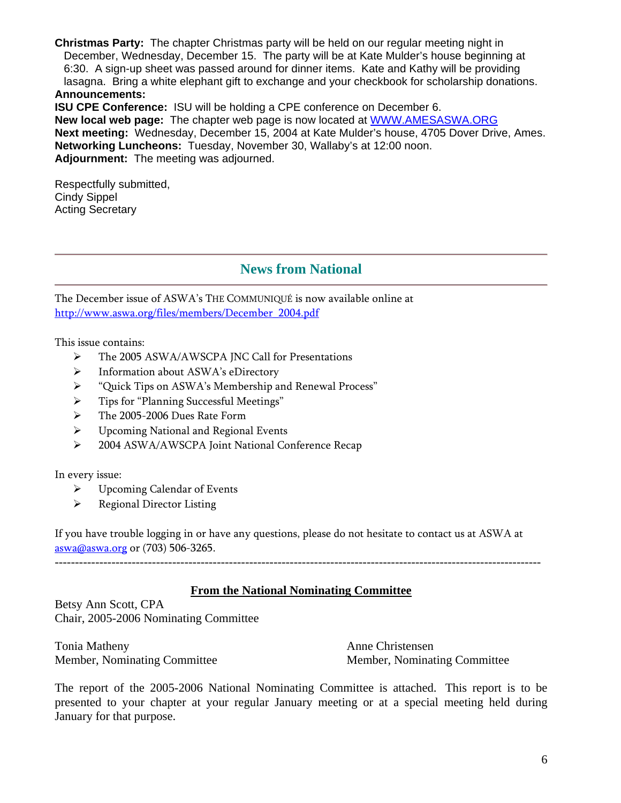**Christmas Party:** The chapter Christmas party will be held on our regular meeting night in December, Wednesday, December 15. The party will be at Kate Mulder's house beginning at 6:30. A sign-up sheet was passed around for dinner items. Kate and Kathy will be providing lasagna. Bring a white elephant gift to exchange and your checkbook for scholarship donations. **Announcements:** 

**ISU CPE Conference:** ISU will be holding a CPE conference on December 6. **New local web page:** The chapter web page is now located at WWW.AMESASWA.ORG **Next meeting:** Wednesday, December 15, 2004 at Kate Mulder's house, 4705 Dover Drive, Ames. **Networking Luncheons:** Tuesday, November 30, Wallaby's at 12:00 noon. **Adjournment:** The meeting was adjourned.

Respectfully submitted, Cindy Sippel Acting Secretary

# **News from National**

The December issue of ASWA's THE COMMUNIQUÉ is now available online at http://www.aswa.org/files/members/December\_2004.pdf

This issue contains:

- $\blacktriangleright$ The 2005 ASWA/AWSCPA JNC Call for Presentations
- $\blacktriangleright$ Information about ASWA's eDirectory
- $\blacktriangleright$ "Quick Tips on ASWA's Membership and Renewal Process"
- $\blacktriangleright$ Tips for "Planning Successful Meetings"
- $\blacktriangleright$ The 2005-2006 Dues Rate Form
- $\blacktriangleright$ Upcoming National and Regional Events
- $\blacktriangleright$ 2004 ASWA/AWSCPA Joint National Conference Recap

In every issue:

- $\blacktriangleright$ Upcoming Calendar of Events
- $\blacktriangleright$ Regional Director Listing

If you have trouble logging in or have any questions, please do not hesitate to contact us at ASWA at aswa@aswa.org or (703) 506-3265.

#### **From the National Nominating Committee**

Betsy Ann Scott, CPA Chair, 2005-2006 Nominating Committee

Tonia Matheny **Anne Christensen** 

Member, Nominating Committee Member, Nominating Committee

The report of the 2005-2006 National Nominating Committee is attached. This report is to be presented to your chapter at your regular January meeting or at a special meeting held during January for that purpose.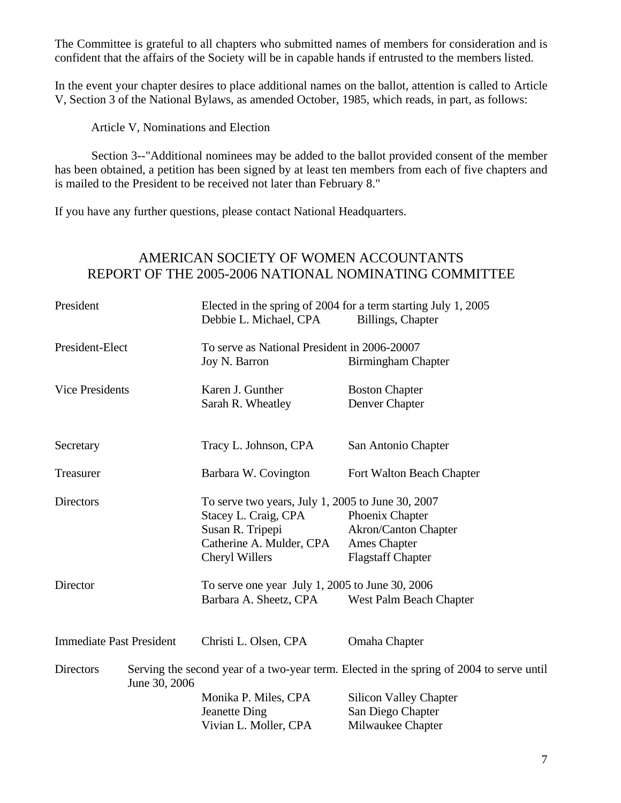The Committee is grateful to all chapters who submitted names of members for consideration and is confident that the affairs of the Society will be in capable hands if entrusted to the members listed.

In the event your chapter desires to place additional names on the ballot, attention is called to Article V, Section 3 of the National Bylaws, as amended October, 1985, which reads, in part, as follows:

Article V, Nominations and Election

 Section 3--"Additional nominees may be added to the ballot provided consent of the member has been obtained, a petition has been signed by at least ten members from each of five chapters and is mailed to the President to be received not later than February 8."

If you have any further questions, please contact National Headquarters.

## AMERICAN SOCIETY OF WOMEN ACCOUNTANTS REPORT OF THE 2005-2006 NATIONAL NOMINATING COMMITTEE

| President                         |  | Elected in the spring of 2004 for a term starting July 1, 2005<br>Billings, Chapter<br>Debbie L. Michael, CPA |                               |  |
|-----------------------------------|--|---------------------------------------------------------------------------------------------------------------|-------------------------------|--|
| President-Elect                   |  | To serve as National President in 2006-20007                                                                  |                               |  |
|                                   |  | Joy N. Barron                                                                                                 | Birmingham Chapter            |  |
| <b>Vice Presidents</b>            |  | Karen J. Gunther                                                                                              | <b>Boston Chapter</b>         |  |
|                                   |  | Sarah R. Wheatley                                                                                             | Denver Chapter                |  |
| Secretary                         |  | Tracy L. Johnson, CPA                                                                                         | San Antonio Chapter           |  |
|                                   |  |                                                                                                               |                               |  |
| Treasurer                         |  | Barbara W. Covington                                                                                          | Fort Walton Beach Chapter     |  |
| <b>Directors</b>                  |  | To serve two years, July 1, 2005 to June 30, 2007                                                             |                               |  |
|                                   |  | Stacey L. Craig, CPA                                                                                          | Phoenix Chapter               |  |
|                                   |  | Susan R. Tripepi                                                                                              | Akron/Canton Chapter          |  |
|                                   |  | Catherine A. Mulder, CPA                                                                                      | Ames Chapter                  |  |
|                                   |  | Cheryl Willers                                                                                                | <b>Flagstaff Chapter</b>      |  |
| Director                          |  | To serve one year July 1, 2005 to June 30, 2006                                                               |                               |  |
|                                   |  | Barbara A. Sheetz, CPA                                                                                        | West Palm Beach Chapter       |  |
|                                   |  |                                                                                                               |                               |  |
| <b>Immediate Past President</b>   |  | Christi L. Olsen, CPA                                                                                         | Omaha Chapter                 |  |
| <b>Directors</b><br>June 30, 2006 |  | Serving the second year of a two-year term. Elected in the spring of 2004 to serve until                      |                               |  |
|                                   |  | Monika P. Miles, CPA                                                                                          | <b>Silicon Valley Chapter</b> |  |
|                                   |  | <b>Jeanette Ding</b>                                                                                          | San Diego Chapter             |  |
|                                   |  | Vivian L. Moller, CPA                                                                                         | Milwaukee Chapter             |  |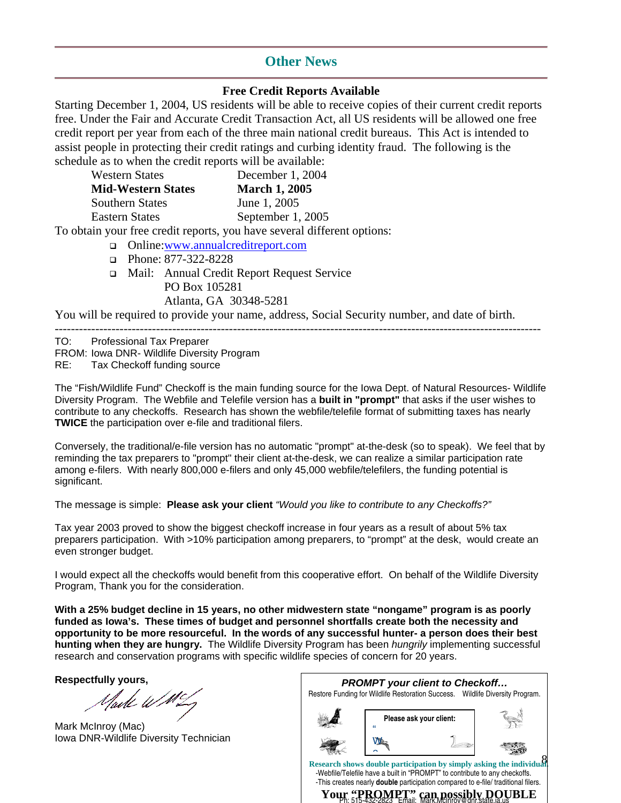#### **Other News**

#### **Free Credit Reports Available**

Starting December 1, 2004, US residents will be able to receive copies of their current credit reports free. Under the Fair and Accurate Credit Transaction Act, all US residents will be allowed one free credit report per year from each of the three main national credit bureaus. This Act is intended to assist people in protecting their credit ratings and curbing identity fraud. The following is the schedule as to when the credit reports will be available:

| <b>Western States</b>     | December 1, 2004                                                        |
|---------------------------|-------------------------------------------------------------------------|
| <b>Mid-Western States</b> | <b>March 1, 2005</b>                                                    |
| <b>Southern States</b>    | June 1, 2005                                                            |
| <b>Eastern States</b>     | September 1, 2005                                                       |
|                           | To obtain your free credit reports, you have several different options: |

Online:www.annualcreditreport.com

- Phone: 877-322-8228
- Mail: Annual Credit Report Request Service PO Box 105281 Atlanta, GA 30348-5281

You will be required to provide your name, address, Social Security number, and date of birth.

------------------------------------------------------------------------------------------------------------------------ TO: Professional Tax Preparer FROM: Iowa DNR- Wildlife Diversity Program RE: Tax Checkoff funding source

The "Fish/Wildlife Fund" Checkoff is the main funding source for the Iowa Dept. of Natural Resources- Wildlife Diversity Program. The Webfile and Telefile version has a **built in "prompt"** that asks if the user wishes to contribute to any checkoffs. Research has shown the webfile/telefile format of submitting taxes has nearly **TWICE** the participation over e-file and traditional filers.

Conversely, the traditional/e-file version has no automatic "prompt" at-the-desk (so to speak). We feel that by reminding the tax preparers to "prompt" their client at-the-desk, we can realize a similar participation rate among e-filers. With nearly 800,000 e-filers and only 45,000 webfile/telefilers, the funding potential is significant.

The message is simple: **Please ask your client** "Would you like to contribute to any Checkoffs?"

Tax year 2003 proved to show the biggest checkoff increase in four years as a result of about 5% tax preparers participation. With >10% participation among preparers, to "prompt" at the desk, would create an even stronger budget.

I would expect all the checkoffs would benefit from this cooperative effort. On behalf of the Wildlife Diversity Program, Thank you for the consideration.

**With a 25% budget decline in 15 years, no other midwestern state "nongame" program is as poorly funded as Iowa's. These times of budget and personnel shortfalls create both the necessity and opportunity to be more resourceful. In the words of any successful hunter- a person does their best hunting when they are hungry.** The Wildlife Diversity Program has been hungrily implementing successful research and conservation programs with specific wildlife species of concern for 20 years.

**Respectfully yours,** 

Uarte WM

Mark McInroy (Mac) Iowa DNR-Wildlife Diversity Technician

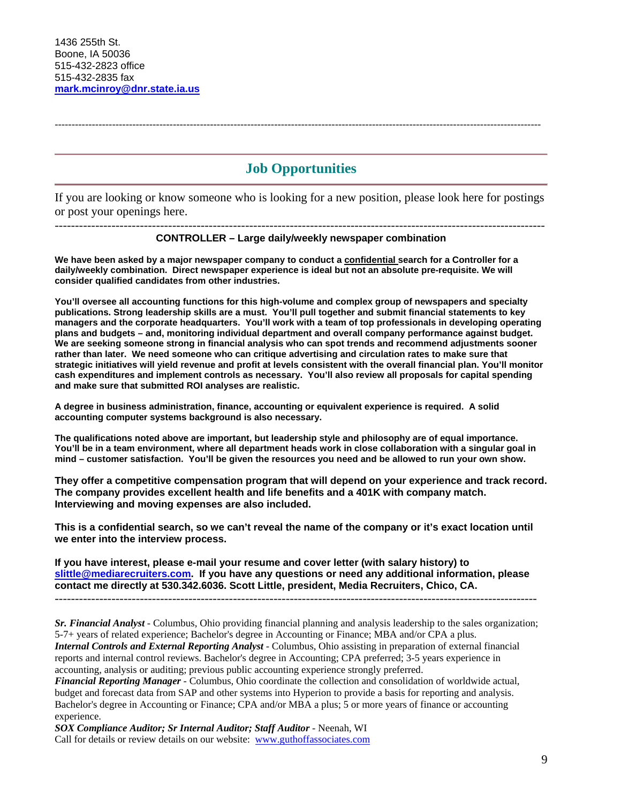**Job Opportunities** 

------------------------------------------------------------------------------------------------------------------------------------------------

If you are looking or know someone who is looking for a new position, please look here for postings or post your openings here.

------------------------------------------------------------------------------------------------------------------------- **CONTROLLER – Large daily/weekly newspaper combination**

**We have been asked by a major newspaper company to conduct a confidential search for a Controller for a daily/weekly combination. Direct newspaper experience is ideal but not an absolute pre-requisite. We will consider qualified candidates from other industries.** 

**You'll oversee all accounting functions for this high-volume and complex group of newspapers and specialty publications. Strong leadership skills are a must. You'll pull together and submit financial statements to key managers and the corporate headquarters. You'll work with a team of top professionals in developing operating plans and budgets – and, monitoring individual department and overall company performance against budget. We are seeking someone strong in financial analysis who can spot trends and recommend adjustments sooner rather than later. We need someone who can critique advertising and circulation rates to make sure that strategic initiatives will yield revenue and profit at levels consistent with the overall financial plan. You'll monitor cash expenditures and implement controls as necessary. You'll also review all proposals for capital spending and make sure that submitted ROI analyses are realistic.** 

**A degree in business administration, finance, accounting or equivalent experience is required. A solid accounting computer systems background is also necessary.** 

**The qualifications noted above are important, but leadership style and philosophy are of equal importance. You'll be in a team environment, where all department heads work in close collaboration with a singular goal in mind – customer satisfaction. You'll be given the resources you need and be allowed to run your own show.** 

**They offer a competitive compensation program that will depend on your experience and track record. The company provides excellent health and life benefits and a 401K with company match. Interviewing and moving expenses are also included.**

**This is a confidential search, so we can't reveal the name of the company or it's exact location until we enter into the interview process.** 

**If you have interest, please e-mail your resume and cover letter (with salary history) to slittle@mediarecruiters.com. If you have any questions or need any additional information, please contact me directly at 530.342.6036. Scott Little, president, Media Recruiters, Chico, CA.**

*Sr. Financial Analyst* - Columbus, Ohio providing financial planning and analysis leadership to the sales organization; 5-7+ years of related experience; Bachelor's degree in Accounting or Finance; MBA and/or CPA a plus. *Internal Controls and External Reporting Analyst* - Columbus, Ohio assisting in preparation of external financial reports and internal control reviews. Bachelor's degree in Accounting; CPA preferred; 3-5 years experience in accounting, analysis or auditing; previous public accounting experience strongly preferred.

*Financial Reporting Manager* - Columbus, Ohio coordinate the collection and consolidation of worldwide actual, budget and forecast data from SAP and other systems into Hyperion to provide a basis for reporting and analysis. Bachelor's degree in Accounting or Finance; CPA and/or MBA a plus; 5 or more years of finance or accounting experience.

*SOX Compliance Auditor; Sr Internal Auditor; Staff Auditor* - Neenah, WI Call for details or review details on our website: www.guthoffassociates.com